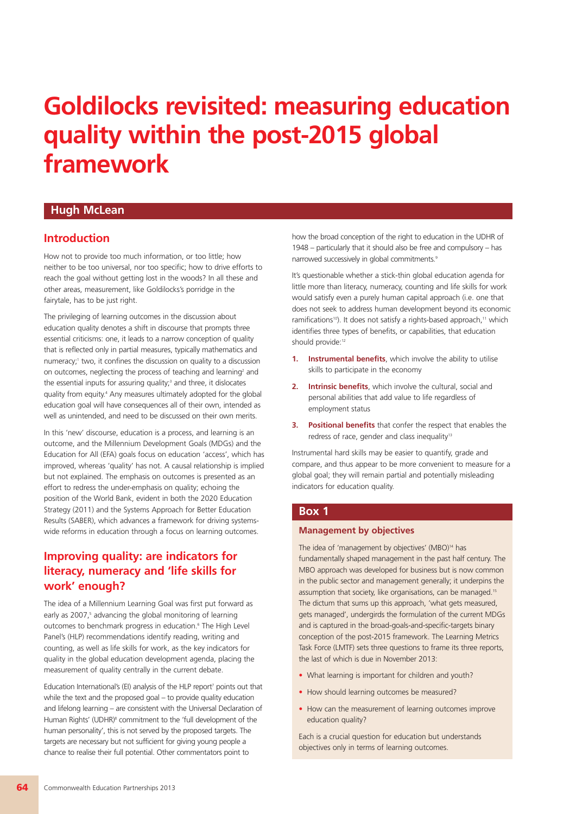# **Goldilocks revisited: measuring education quality within the post-2015 global framework**

### **Hugh McLean**

### **Introduction**

How not to provide too much information, or too little; how neither to be too universal, nor too specific; how to drive efforts to reach the goal without getting lost in the woods? In all these and other areas, measurement, like Goldilocks's porridge in the fairytale, has to be just right.

The privileging of learning outcomes in the discussion about education quality denotes a shift in discourse that prompts three essential criticisms: one, it leads to a narrow conception of quality that is reflected only in partial measures, typically mathematics and numeracy; <sup>1</sup> two, it confines the discussion on quality to a discussion on outcomes, neglecting the process of teaching and learning<sup>2</sup> and the essential inputs for assuring quality; <sup>3</sup> and three, it dislocates quality from equity. <sup>4</sup> Any measures ultimately adopted for the global education goal will have consequences all of their own, intended as well as unintended, and need to be discussed on their own merits.

In this 'new' discourse, education is a process, and learning is an outcome, and the Millennium Development Goals (MDGs) and the Education for All (EFA) goals focus on education 'access', which has improved, whereas 'quality' has not. A causal relationship is implied but not explained. The emphasis on outcomes is presented as an effort to redress the under-emphasis on quality; echoing the position of the World Bank, evident in both the 2020 Education Strategy (2011) and the Systems Approach for Better Education Results (SABER), which advances a framework for driving systemswide reforms in education through a focus on learning outcomes.

# **Improving quality: are indicators for literacy, numeracy and 'life skills for work' enough?**

The idea of a Millennium Learning Goal was first put forward as early as 2007, <sup>5</sup> advancing the global monitoring of learning outcomes to benchmark progress in education. <sup>6</sup> The High Level Panel's (HLP) recommendations identify reading, writing and counting, as well as life skills for work, as the key indicators for quality in the global education development agenda, placing the measurement of quality centrally in the current debate.

Education International's (EI) analysis of the HLP report <sup>7</sup> points out that while the text and the proposed goal – to provide quality education and lifelong learning – are consistent with the Universal Declaration of Human Rights' (UDHR) <sup>8</sup> commitment to the 'full development of the human personality', this is not served by the proposed targets. The targets are necessary but not sufficient for giving young people a chance to realise their full potential. Other commentators point to

how the broad conception of the right to education in the UDHR of 1948 – particularly that it should also be free and compulsory – has narrowed successively in global commitments.<sup>9</sup>

It's questionable whether a stick-thin global education agenda for little more than literacy, numeracy, counting and life skills for work would satisfy even a purely human capital approach (i.e. one that does not seek to address human development beyond its economic ramifications<sup>10</sup>). It does not satisfy a rights-based approach,<sup>11</sup> which identifies three types of benefits, or capabilities, that education should provide:<sup>12</sup>

- **1. Instrumental benefits**, which involve the ability to utilise skills to participate in the economy
- **2. Intrinsic benefits**, which involve the cultural, social and personal abilities that add value to life regardless of employment status
- **3. Positional benefits** that confer the respect that enables the redress of race, gender and class inequality<sup>13</sup>

Instrumental hard skills may be easier to quantify, grade and compare, and thus appear to be more convenient to measure for a global goal; they will remain partial and potentially misleading indicators for education quality.

#### **Box 1**

#### **Management by objectives**

The idea of 'management by objectives' (MBO) <sup>14</sup> has fundamentally shaped management in the past half century. The MBO approach was developed for business but is now common in the public sector and management generally; it underpins the assumption that society, like organisations, can be managed.<sup>15</sup> The dictum that sums up this approach, 'what gets measured, gets managed', undergirds the formulation of the current MDGs and is captured in the broad-goals-and-specific-targets binary conception of the post-2015 framework. The Learning Metrics Task Force (LMTF) sets three questions to frame its three reports, the last of which is due in November 2013:

- What learning is important for children and youth?
- How should learning outcomes be measured?
- How can the measurement of learning outcomes improve education quality?

Each is a crucial question for education but understands objectives only in terms of learning outcomes.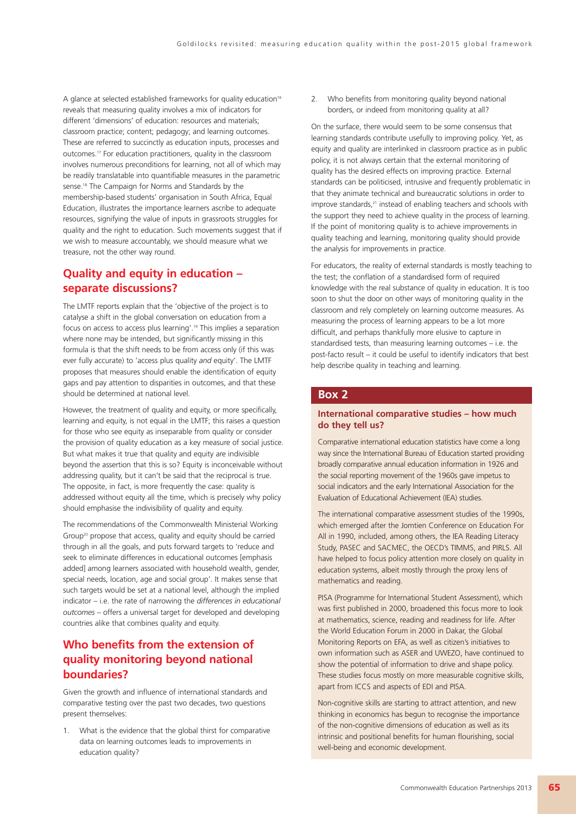A glance at selected established frameworks for quality education<sup>16</sup> reveals that measuring quality involves a mix of indicators for different 'dimensions' of education: resources and materials; classroom practice; content; pedagogy; and learning outcomes. These are referred to succinctly as education inputs, processes and outcomes. <sup>17</sup> For education practitioners, quality in the classroom involves numerous preconditions for learning, not all of which may be readily translatable into quantifiable measures in the parametric sense. <sup>18</sup> The Campaign for Norms and Standards by the membership-based students' organisation in South Africa, Equal Education, illustrates the importance learners ascribe to adequate resources, signifying the value of inputs in grassroots struggles for quality and the right to education. Such movements suggest that if we wish to measure accountably, we should measure what we treasure, not the other way round.

# **Quality and equity in education – separate discussions?**

The LMTF reports explain that the 'objective of the project is to catalyse a shift in the global conversation on education from a focus on access to access plus learning'. <sup>19</sup> This implies a separation where none may be intended, but significantly missing in this formula is that the shift needs to be from access only (if this was ever fully accurate) to 'access plus quality *and* equity'. The LMTF proposes that measures should enable the identification of equity gaps and pay attention to disparities in outcomes, and that these should be determined at national level.

However, the treatment of quality and equity, or more specifically, learning and equity, is not equal in the LMTF; this raises a question for those who see equity as inseparable from quality or consider the provision of quality education as a key measure of social justice. But what makes it true that quality and equity are indivisible beyond the assertion that this is so? Equity is inconceivable without addressing quality, but it can't be said that the reciprocal is true. The opposite, in fact, is more frequently the case: quality is addressed without equity all the time, which is precisely why policy should emphasise the indivisibility of quality and equity.

The recommendations of the Commonwealth Ministerial Working Group20 propose that access, quality and equity should be carried through in all the goals, and puts forward targets to 'reduce and seek to eliminate differences in educational outcomes [emphasis added] among learners associated with household wealth, gender, special needs, location, age and social group'. It makes sense that such targets would be set at a national level, although the implied indicator – i.e. the rate of narrowing the *differences in educational outcomes* – offers a universal target for developed and developing countries alike that combines quality and equity.

# **Who benefits from the extension of quality monitoring beyond national boundaries?**

Given the growth and influence of international standards and comparative testing over the past two decades, two questions present themselves:

1. What is the evidence that the global thirst for comparative data on learning outcomes leads to improvements in education quality?

2. Who benefits from monitoring quality beyond national borders, or indeed from monitoring quality at all?

On the surface, there would seem to be some consensus that learning standards contribute usefully to improving policy. Yet, as equity and quality are interlinked in classroom practice as in public policy, it is not always certain that the external monitoring of quality has the desired effects on improving practice. External standards can be politicised, intrusive and frequently problematic in that they animate technical and bureaucratic solutions in order to improve standards, <sup>21</sup> instead of enabling teachers and schools with the support they need to achieve quality in the process of learning. If the point of monitoring quality is to achieve improvements in quality teaching and learning, monitoring quality should provide the analysis for improvements in practice.

For educators, the reality of external standards is mostly teaching to the test; the conflation of a standardised form of required knowledge with the real substance of quality in education. It is too soon to shut the door on other ways of monitoring quality in the classroom and rely completely on learning outcome measures. As measuring the process of learning appears to be a lot more difficult, and perhaps thankfully more elusive to capture in standardised tests, than measuring learning outcomes – i.e. the post-facto result – it could be useful to identify indicators that best help describe quality in teaching and learning.

#### **Box 2**

#### **International comparative studies – how much do they tell us?**

Comparative international education statistics have come a long way since the International Bureau of Education started providing broadly comparative annual education information in 1926 and the social reporting movement of the 1960s gave impetus to social indicators and the early International Association for the Evaluation of Educational Achievement (IEA) studies.

The international comparative assessment studies of the 1990s, which emerged after the Jomtien Conference on Education For All in 1990, included, among others, the IEA Reading Literacy Study, PASEC and SACMEC, the OECD's TIMMS, and PIRLS. All have helped to focus policy attention more closely on quality in education systems, albeit mostly through the proxy lens of mathematics and reading.

PISA (Programme for International Student Assessment), which was first published in 2000, broadened this focus more to look at mathematics, science, reading and readiness for life. After the World Education Forum in 2000 in Dakar, the Global Monitoring Reports on EFA, as well as citizen's initiatives to own information such as ASER and UWEZO, have continued to show the potential of information to drive and shape policy. These studies focus mostly on more measurable cognitive skills, apart from ICCS and aspects of EDI and PISA.

Non-cognitive skills are starting to attract attention, and new thinking in economics has begun to recognise the importance of the non-cognitive dimensions of education as well as its intrinsic and positional benefits for human flourishing, social well-being and economic development.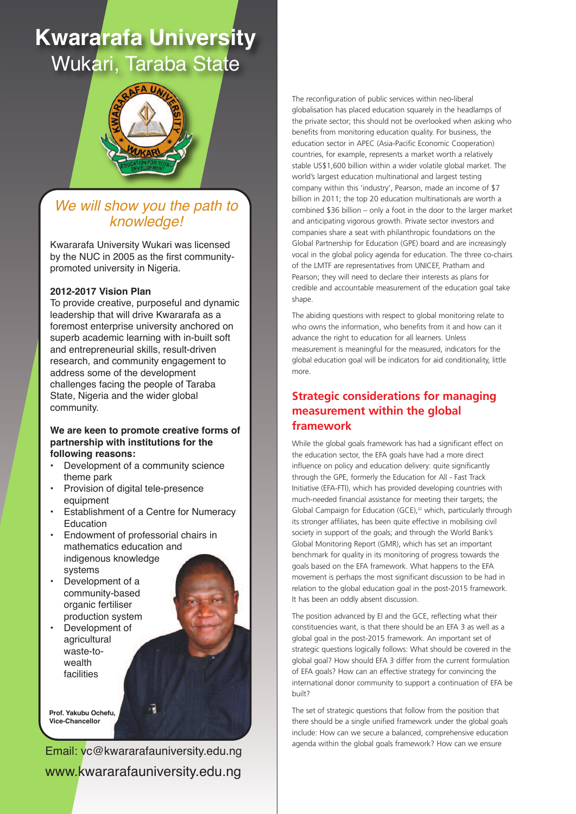# **Kwararafa University** Wukari, Taraba State



# We will show you the path to knowledge!

Kwararafa University Wukari was licensed by the NUC in 2005 as the first communitypromoted university in Nigeria.

#### 2012-2017 Vision Plan

To provide creative, purposeful and dynamic leadership that will drive Kwararafa as a foremost enterprise university anchored on superb academic learning with in-built soft and entrepreneurial skills, result-driven research, and community engagement to address some of the development challenges facing the people of Taraba State, Nigeria and the wider global community.

#### We are keen to promote creative forms of **partnership with institutions for the** following reasons:

- Development of a community science theme park
- Provision of digital tele-presence equipment
- Establishment of a Centre for Numeracy Education
- Endowment of professorial chairs in mathematics education and indigenous knowledge systems
- Development of a community-based organic fertiliser production system
- Development of agricultural waste-towealth facilities

**Prof** Yakubu Ochefu **Vice-Chancellor** 

Email: vc@kwararafauniversity.edu.ng www.kwararafauniversity.edu.ng The reconfiguration of public services within neo-liberal globalisation has placed education squarely in the headlamps of the private sector; this should not be overlooked when asking who benefits from monitoring education quality. For business, the education sector in APEC (Asia-Pacific Economic Cooperation) countries, for example, represents a market worth a relatively stable US\$1,600 billion within a wider volatile global market. The world's largest education multinational and largest testing company within this 'industry', Pearson, made an income of \$7 billion in 2011; the top 20 education multinationals are worth a combined \$36 billion – only a foot in the door to the larger market and anticipating vigorous growth. Private sector investors and companies share a seat with philanthropic foundations on the Global Partnership for Education (GPE) board and are increasingly vocal in the global policy agenda for education. The three co-chairs of the LMTF are representatives from UNICEF, Pratham and Pearson; they will need to declare their interests as plans for credible and accountable measurement of the education goal take shape.

The abiding questions with respect to global monitoring relate to who owns the information, who benefits from it and how can it advance the right to education for all learners. Unless measurement is meaningful for the measured, indicators for the global education goal will be indicators for aid conditionality, little more.

# **Strategic considerations for managing measurement within the global framework**

While the global goals framework has had a significant effect on the education sector, the EFA goals have had a more direct influence on policy and education delivery: quite significantly through the GPE, formerly the Education for All - Fast Track Initiative (EFA-FTI), which has provided developing countries with much-needed financial assistance for meeting their targets; the Global Campaign for Education (GCE), <sup>22</sup> which, particularly through its stronger affiliates, has been quite effective in mobilising civil society in support of the goals; and through the World Bank's Global Monitoring Report (GMR), which has set an important benchmark for quality in its monitoring of progress towards the goals based on the EFA framework. What happens to the EFA movement is perhaps the most significant discussion to be had in relation to the global education goal in the post-2015 framework. It has been an oddly absent discussion.

The position advanced by EI and the GCE, reflecting what their constituencies want, is that there should be an EFA 3 as well as a global goal in the post-2015 framework. An important set of strategic questions logically follows: What should be covered in the global goal? How should EFA 3 differ from the current formulation of EFA goals? How can an effective strategy for convincing the international donor community to support a continuation of EFA be built?

The set of strategic questions that follow from the position that there should be a single unified framework under the global goals include: How can we secure a balanced, comprehensive education agenda within the global goals framework? How can we ensure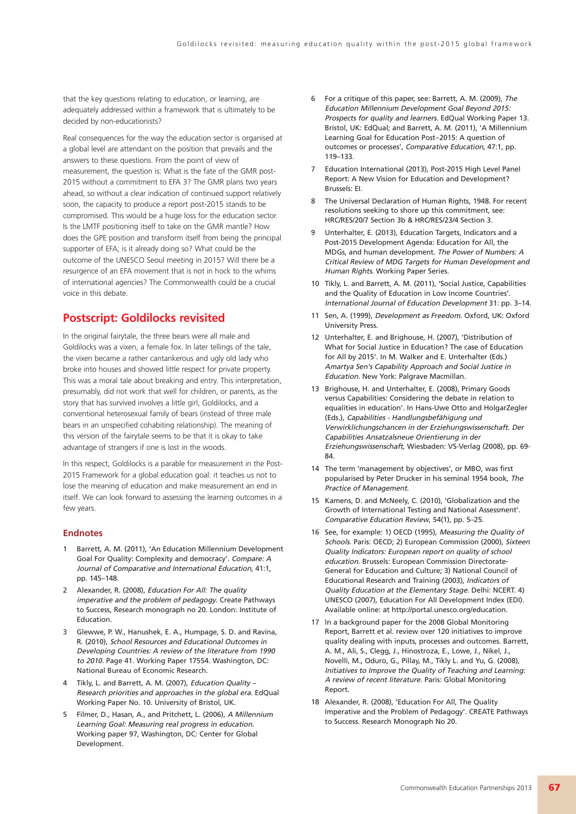that the key questions relating to education, or learning, are adequately addressed within a framework that is ultimately to be decided by non-educationists?

Real consequences for the way the education sector is organised at a global level are attendant on the position that prevails and the answers to these questions. From the point of view of measurement, the question is: What is the fate of the GMR post-2015 without a commitment to EFA 3? The GMR plans two years ahead, so without a clear indication of continued support relatively soon, the capacity to produce a report post-2015 stands to be compromised. This would be a huge loss for the education sector. Is the LMTF positioning itself to take on the GMR mantle? How does the GPE position and transform itself from being the principal supporter of EFA; is it already doing so? What could be the outcome of the UNESCO Seoul meeting in 2015? Will there be a resurgence of an EFA movement that is not in hock to the whims of international agencies? The Commonwealth could be a crucial voice in this debate.

#### **Postscript: Goldilocks revisited**

In the original fairytale, the three bears were all male and Goldilocks was a vixen, a female fox. In later tellings of the tale, the vixen became a rather cantankerous and ugly old lady who broke into houses and showed little respect for private property. This was a moral tale about breaking and entry. This interpretation, presumably, did not work that well for children, or parents, as the story that has survived involves a little girl, Goldilocks, and a conventional heterosexual family of bears (instead of three male bears in an unspecified cohabiting relationship). The meaning of this version of the fairytale seems to be that it is okay to take advantage of strangers if one is lost in the woods.

In this respect, Goldilocks is a parable for measurement in the Post-2015 Framework for a global education goal: it teaches us not to lose the meaning of education and make measurement an end in itself. We can look forward to assessing the learning outcomes in a few years.

#### **Endnotes**

- 1 Barrett, A. M. (2011), 'An Education Millennium Development Goal For Quality: Complexity and democracy'. Compare: <sup>A</sup> Journal of Comparative and International Education, 41:1, pp. 145–148.
- 2 Alexander, R. (2008), Education For All: The quality imperative and the problem of pedagogy. Create Pathways to Success, Research monograph no 20. London: Institute of Education.
- 3 Glewwe, P. W., Hanushek, E. A., Humpage, S. D. and Ravina, R. (2010), School Resources and Educational Outcomes in Developing Countries: A review of the literature from 1990 to 2010. Page 41. Working Paper 17554. Washington, DC: National Bureau of Economic Research.
- 4 Tikly, L. and Barrett, A. M. (2007), Education Quality Research priorities and approaches in the global era. EdQual Working Paper No. 10. University of Bristol, UK.
- 5 Filmer, D., Hasan, A., and Pritchett, L. (2006), <sup>A</sup> Millennium Learning Goal: Measuring real progress in education. Working paper 97, Washington, DC: Center for Global Development.
- 6 For a critique of this paper, see: Barrett, A. M. (2009), The Education Millennium Development Goal Beyond 2015: Prospects for quality and learners. EdQual Working Paper 13. Bristol, UK: EdQual; and Barrett, A. M. (2011), 'A Millennium Learning Goal for Education Post‐2015: A question of outcomes or processes', Comparative Education, 47:1, pp. 119–133.
- 7 Education International (2013), Post-2015 High Level Panel Report: A New Vision for Education and Development? Brussels: EI.
- 8 The Universal Declaration of Human Rights, 1948. For recent resolutions seeking to shore up this commitment, see: HRC/RES/20/7 Section 3b & HRC/RES/23/4 Section 3.
- 9 Unterhalter, E. (2013), Education Targets, Indicators and a Post-2015 Development Agenda: Education for All, the MDGs, and human development. The Power of Numbers: <sup>A</sup> Critical Review of MDG Targets for Human Development and Human Rights. Working Paper Series.
- 10 Tikly, L. and Barrett, A. M. (2011), 'Social Justice, Capabilities and the Quality of Education in Low Income Countries'. International Journal of Education Development 31: pp. 3–14.
- 11 Sen, A. (1999), Development as Freedom. Oxford, UK: Oxford University Press.
- 12 Unterhalter, E. and Brighouse, H. (2007), 'Distribution of What for Social Justice in Education? The case of Education for All by 2015'. In M. Walker and E. Unterhalter (Eds.) Amartya Sen's Capability Approach and Social Justice in Education. New York: Palgrave Macmillan.
- 13 Brighouse, H. and Unterhalter, E. (2008), Primary Goods versus Capabilities: Considering the debate in relation to equalities in education'. In Hans-Uwe Otto and HolgarZegler (Eds.), Capabilities - Handlungsbefähigung und Verwirklichungschancen in der Erziehungswissenschaft. Der Capabilities Ansatzalsneue Orientierung in der Erziehungswissenschaft, Wiesbaden: VS-Verlag (2008), pp. 69- 84.
- 14 The term 'management by objectives', or MBO, was first popularised by Peter Drucker in his seminal 1954 book, The Practice of Management.
- 15 Kamens, D. and McNeely, C. (2010), 'Globalization and the Growth of International Testing and National Assessment'. Comparative Education Review, 54(1), pp. 5–25.
- 16 See, for example: 1) OECD (1995), Measuring the Quality of Schools. Paris: OECD; 2) European Commission (2000), Sixteen Quality Indicators: European report on quality of school education. Brussels: European Commission Directorate-General for Education and Culture; 3) National Council of Educational Research and Training (2003), Indicators of Quality Education at the Elementary Stage. Delhi: NCERT. 4) UNESCO (2007), Education For All Development Index (EDI). Available online: at http://portal.unesco.org/education.
- 17 In a background paper for the 2008 Global Monitoring Report, Barrett et al. review over 120 initiatives to improve quality dealing with inputs, processes and outcomes. Barrett, A. M., Ali, S., Clegg, J., Hinostroza, E., Lowe, J., Nikel, J., Novelli, M., Oduro, G., Pillay, M., Tikly L. and Yu, G. (2008), Initiatives to Improve the Quality of Teaching and Learning: <sup>A</sup> review of recent literature. Paris: Global Monitoring Report.
- 18 Alexander, R. (2008), 'Education For All, The Quality Imperative and the Problem of Pedagogy'. CREATE Pathways to Success. Research Monograph No 20.